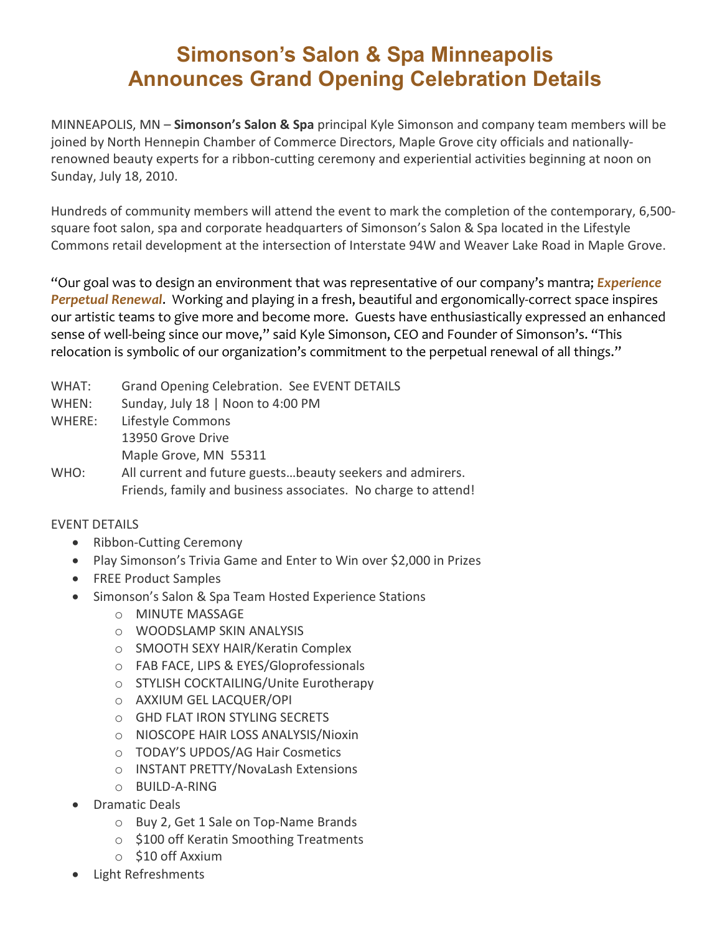## **Simonson's Salon & Spa Minneapolis Announces Grand Opening Celebration Details**

MINNEAPOLIS, MN – **Simonson's Salon & Spa** principal Kyle Simonson and company team members will be joined by North Hennepin Chamber of Commerce Directors, Maple Grove city officials and nationallyrenowned beauty experts for a ribbon-cutting ceremony and experiential activities beginning at noon on Sunday, July 18, 2010.

Hundreds of community members will attend the event to mark the completion of the contemporary, 6,500 square foot salon, spa and corporate headquarters of Simonson's Salon & Spa located in the Lifestyle Commons retail development at the intersection of Interstate 94W and Weaver Lake Road in Maple Grove.

"Our goal was to design an environment that was representative of our company's mantra; *Experience Perpetual Renewal*. Working and playing in a fresh, beautiful and ergonomically-correct space inspires our artistic teams to give more and become more. Guests have enthusiastically expressed an enhanced sense of well-being since our move," said Kyle Simonson, CEO and Founder of Simonson's. "This relocation is symbolic of our organization's commitment to the perpetual renewal of all things."

- WHAT: Grand Opening Celebration. See EVENT DETAILS
- WHEN: Sunday, July 18 | Noon to 4:00 PM
- WHERE: Lifestyle Commons 13950 Grove Drive Maple Grove, MN 55311
- WHO: All current and future guests...beauty seekers and admirers. Friends, family and business associates. No charge to attend!

## EVENT DETAILS

- Ribbon-Cutting Ceremony
- Play Simonson's Trivia Game and Enter to Win over \$2,000 in Prizes
- FREE Product Samples
- Simonson's Salon & Spa Team Hosted Experience Stations
	- o MINUTE MASSAGE
	- o WOODSLAMP SKIN ANALYSIS
	- o SMOOTH SEXY HAIR/Keratin Complex
	- o FAB FACE, LIPS & EYES/Gloprofessionals
	- o STYLISH COCKTAILING/Unite Eurotherapy
	- o AXXIUM GEL LACQUER/OPI
	- o GHD FLAT IRON STYLING SECRETS
	- o NIOSCOPE HAIR LOSS ANALYSIS/Nioxin
	- o TODAY'S UPDOS/AG Hair Cosmetics
	- o INSTANT PRETTY/NovaLash Extensions
	- o BUILD-A-RING
- Dramatic Deals
	- o Buy 2, Get 1 Sale on Top-Name Brands
	- o \$100 off Keratin Smoothing Treatments
	- o \$10 off Axxium
- Light Refreshments